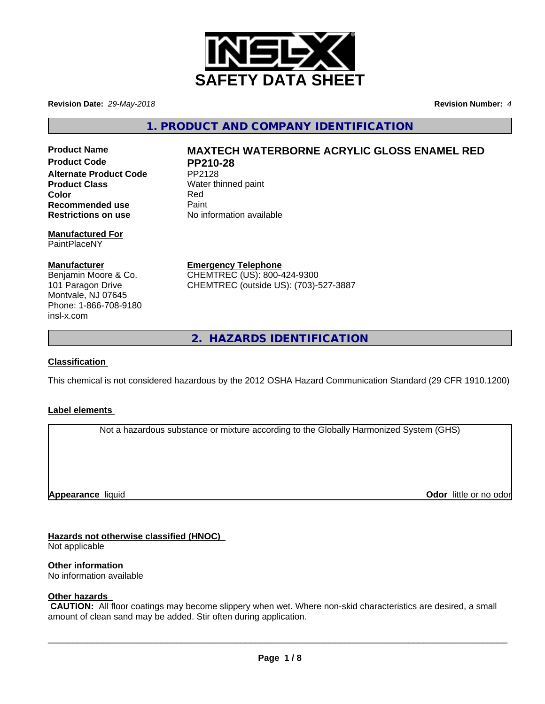

**Revision Date:** *29-May-2018* **Revision Number:** *4*

**1. PRODUCT AND COMPANY IDENTIFICATION**

Product Code PP210-28 **Alternate Product Code** PP2128 **Product Class** Water thinned paint **Color** Red **Recommended use** Paint<br> **Restrictions on use** No inf

# **Manufactured For** PaintPlaceNY

# **Manufacturer**

Benjamin Moore & Co. 101 Paragon Drive Montvale, NJ 07645 Phone: 1-866-708-9180 insl-x.com

# **Product Name MAXTECH WATERBORNE ACRYLIC GLOSS ENAMEL RED**

**No information available** 

**Emergency Telephone** CHEMTREC (US): 800-424-9300 CHEMTREC (outside US): (703)-527-3887

**2. HAZARDS IDENTIFICATION**

# **Classification**

This chemical is not considered hazardous by the 2012 OSHA Hazard Communication Standard (29 CFR 1910.1200)

# **Label elements**

Not a hazardous substance or mixture according to the Globally Harmonized System (GHS)

**Appearance** liquid

**Odor** little or no odor

# **Hazards not otherwise classified (HNOC)**

Not applicable

**Other information**

No information available

# **Other hazards**

 **CAUTION:** All floor coatings may become slippery when wet. Where non-skid characteristics are desired, a small amount of clean sand may be added. Stir often during application.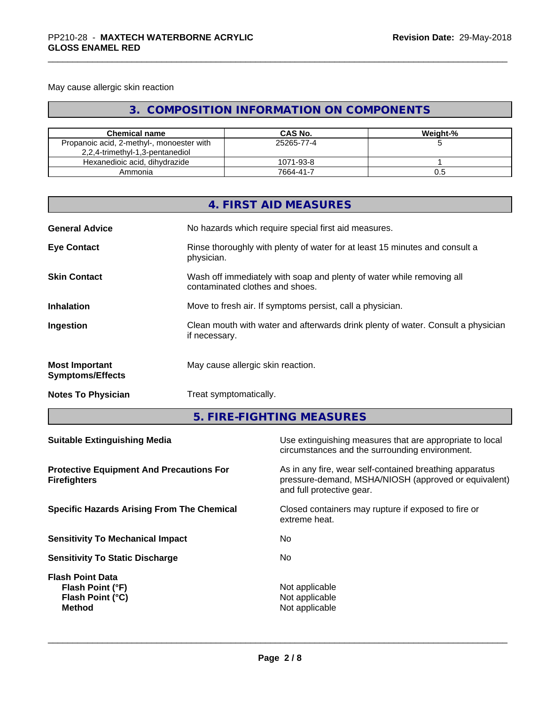# May cause allergic skin reaction

# **3. COMPOSITION INFORMATION ON COMPONENTS**

| <b>Chemical name</b>                                                         | CAS No.    | Weiaht-% |
|------------------------------------------------------------------------------|------------|----------|
| Propanoic acid, 2-methyl-, monoester with<br>2,2,4-trimethyl-1,3-pentanediol | 25265-77-4 |          |
| Hexanedioic acid, dihydrazide                                                | 1071-93-8  |          |
| Ammonia                                                                      | 7664-41-7  | U.5      |

|                                                  | 4. FIRST AID MEASURES                                                                                    |
|--------------------------------------------------|----------------------------------------------------------------------------------------------------------|
| <b>General Advice</b>                            | No hazards which require special first aid measures.                                                     |
| <b>Eye Contact</b>                               | Rinse thoroughly with plenty of water for at least 15 minutes and consult a<br>physician.                |
| <b>Skin Contact</b>                              | Wash off immediately with soap and plenty of water while removing all<br>contaminated clothes and shoes. |
| <b>Inhalation</b>                                | Move to fresh air. If symptoms persist, call a physician.                                                |
| Ingestion                                        | Clean mouth with water and afterwards drink plenty of water. Consult a physician<br>if necessary.        |
| <b>Most Important</b><br><b>Symptoms/Effects</b> | May cause allergic skin reaction.                                                                        |
| <b>Notes To Physician</b>                        | Treat symptomatically.                                                                                   |

**5. FIRE-FIGHTING MEASURES**

| Use extinguishing measures that are appropriate to local<br>circumstances and the surrounding environment.                                   |
|----------------------------------------------------------------------------------------------------------------------------------------------|
| As in any fire, wear self-contained breathing apparatus<br>pressure-demand, MSHA/NIOSH (approved or equivalent)<br>and full protective gear. |
| Closed containers may rupture if exposed to fire or<br>extreme heat.                                                                         |
| No.                                                                                                                                          |
| No.                                                                                                                                          |
| Not applicable<br>Not applicable<br>Not applicable                                                                                           |
|                                                                                                                                              |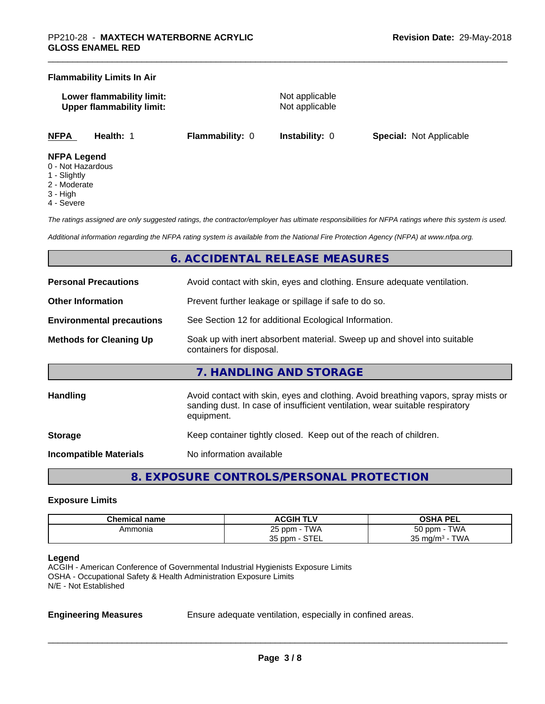#### **Flammability Limits In Air**

**Lower flammability limit:** Not applicable **Upper flammability limit:** Not applicable

**NFPA Health:** 1 **Flammability:** 0 **Instability:** 0 **Special:** Not Applicable

#### **NFPA Legend**

- 0 Not Hazardous
- 1 Slightly
- 2 Moderate
- 3 High
- 4 Severe

*The ratings assigned are only suggested ratings, the contractor/employer has ultimate responsibilities for NFPA ratings where this system is used.*

*Additional information regarding the NFPA rating system is available from the National Fire Protection Agency (NFPA) at www.nfpa.org.*

# **6. ACCIDENTAL RELEASE MEASURES**

| <b>Personal Precautions</b><br>Avoid contact with skin, eyes and clothing. Ensure adequate ventilation. |                                                                                                                                                                                  |  |
|---------------------------------------------------------------------------------------------------------|----------------------------------------------------------------------------------------------------------------------------------------------------------------------------------|--|
| Prevent further leakage or spillage if safe to do so.<br><b>Other Information</b>                       |                                                                                                                                                                                  |  |
| <b>Environmental precautions</b>                                                                        | See Section 12 for additional Ecological Information.                                                                                                                            |  |
| <b>Methods for Cleaning Up</b>                                                                          | Soak up with inert absorbent material. Sweep up and shovel into suitable<br>containers for disposal.                                                                             |  |
|                                                                                                         | 7. HANDLING AND STORAGE                                                                                                                                                          |  |
| <b>Handling</b>                                                                                         | Avoid contact with skin, eyes and clothing. Avoid breathing vapors, spray mists or<br>sanding dust. In case of insufficient ventilation, wear suitable respiratory<br>equipment. |  |
| <b>Storage</b>                                                                                          | Keep container tightly closed. Keep out of the reach of children.                                                                                                                |  |
| <b>Incompatible Materials</b>                                                                           | No information available                                                                                                                                                         |  |

**8. EXPOSURE CONTROLS/PERSONAL PROTECTION**

#### **Exposure Limits**

| Chemical name | <b>ACGIH TLV</b>                           | <b>OSHA PEL</b>              |
|---------------|--------------------------------------------|------------------------------|
| Ammonia       | <b>TWA</b><br>つに<br>25 ppm                 | TWA<br><u>- ^</u><br>50 ppm  |
|               | $\sim$ $\sim$ $\sim$ $\sim$<br>35 ppm<br>. | TWA<br>25<br>` mɑ/mª ·<br>ບບ |

#### **Legend**

ACGIH - American Conference of Governmental Industrial Hygienists Exposure Limits OSHA - Occupational Safety & Health Administration Exposure Limits N/E - Not Established

**Engineering Measures** Ensure adequate ventilation, especially in confined areas.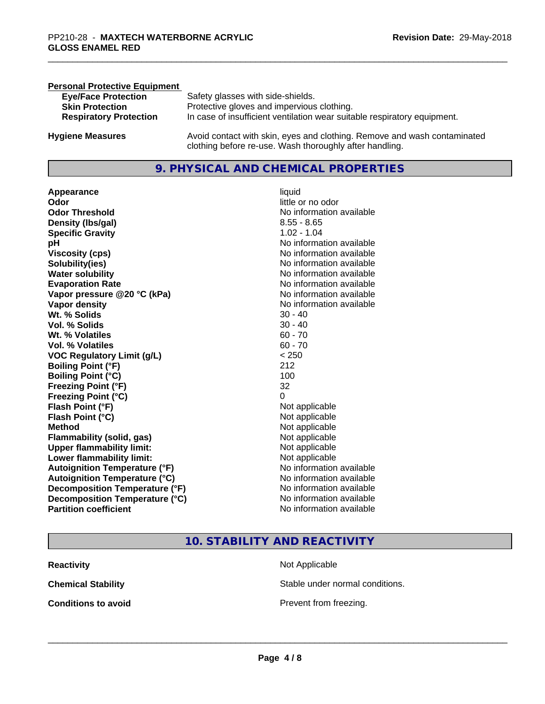| <b>Personal Protective Equipment</b> |                                                                                                                                     |
|--------------------------------------|-------------------------------------------------------------------------------------------------------------------------------------|
| <b>Eye/Face Protection</b>           | Safety glasses with side-shields.                                                                                                   |
| <b>Skin Protection</b>               | Protective gloves and impervious clothing.                                                                                          |
| <b>Respiratory Protection</b>        | In case of insufficient ventilation wear suitable respiratory equipment.                                                            |
| <b>Hygiene Measures</b>              | Avoid contact with skin, eyes and clothing. Remove and wash contaminated<br>clothing before re-use. Wash thoroughly after handling. |

# **9. PHYSICAL AND CHEMICAL PROPERTIES**

**Appearance** liquid **Odor** little or no odor **Odor Threshold**<br> **Density (Ibs/gal)**<br> **Density (Ibs/gal)**<br> **No information available**<br>  $8.55 - 8.65$ **Density (Ibs/gal) Specific Gravity** 1.02 - 1.04 **pH pH**  $\blacksquare$ **Viscosity (cps)** <br> **Viscosity (cps)** No information available<br>
No information available<br>
No information available **Solubility(ies)**<br> **No** information available<br> **Water solubility**<br> **Water solubility Evaporation Rate No information available No information available Vapor pressure @20 °C (kPa)** No information available **Vapor density**<br> **Vapor density**<br> **With % Solids**<br>
With % Solids  $30 - 40$ **Wt. % Solids** 30 - 40<br> **Vol. % Solids** 30 - 40 **Vol. % Solids Wt.** % Volatiles 60 - 70 **Vol. % Volatiles** 60 - 70 **VOC Regulatory Limit (g/L)** < 250 **Boiling Point (°F)** 212 **Boiling Point (°C)** 100 **Freezing Point (°F)** 32 **Freezing Point (°C)** 0 **Flash Point (°F)**<br> **Flash Point (°C)**<br> **Flash Point (°C)**<br> **C Flash Point (°C) Method** Not applicable not applicable not applicable not applicable not applicable not applicable not applicable not applicable not applicable not applicable not applicable not applicable not applicable not applicable not **Flammability (solid, gas)**<br> **Upper flammability limit:**<br>
Upper flammability limit:<br>  $\begin{array}{ccc}\n\bullet & \bullet & \bullet \\
\bullet & \bullet & \bullet\n\end{array}$ **Upper flammability limit: Lower flammability limit:** Not applicable **Autoignition Temperature (°F)** No information available **Autoignition Temperature (°C)** No information available **Decomposition Temperature (°F)** No information available **Decomposition Temperature (°C)**<br> **Partition coefficient**<br> **Partition coefficient**<br> **No** information available

**No information available No information available** 

**10. STABILITY AND REACTIVITY**

| <b>Reactivity</b>          | Not Applicable         |
|----------------------------|------------------------|
| <b>Chemical Stability</b>  | Stable under normal c  |
| <b>Conditions to avoid</b> | Prevent from freezing. |

**Not Applicable** Stable under normal conditions.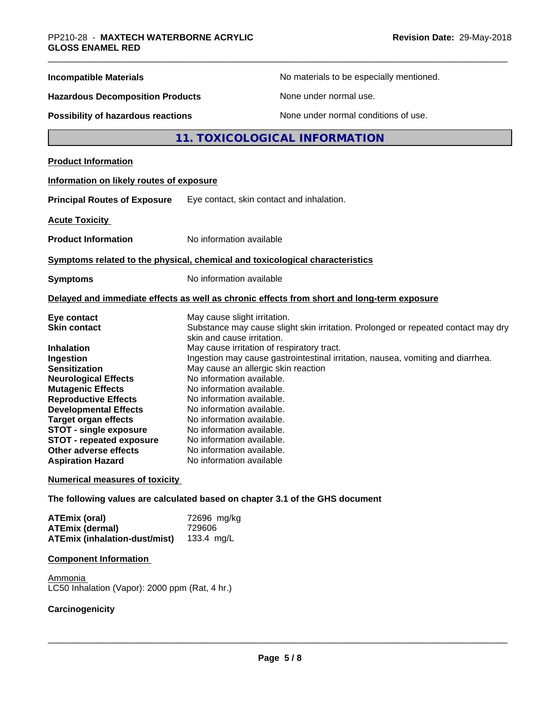| <b>Incompatible Materials</b>                                                                                                                                                                                                                                                                                                                                                  |                                                                                                                                                                                                                                                                                                                                                                                                                     | No materials to be especially mentioned.                                                                                                                             |
|--------------------------------------------------------------------------------------------------------------------------------------------------------------------------------------------------------------------------------------------------------------------------------------------------------------------------------------------------------------------------------|---------------------------------------------------------------------------------------------------------------------------------------------------------------------------------------------------------------------------------------------------------------------------------------------------------------------------------------------------------------------------------------------------------------------|----------------------------------------------------------------------------------------------------------------------------------------------------------------------|
| <b>Hazardous Decomposition Products</b>                                                                                                                                                                                                                                                                                                                                        |                                                                                                                                                                                                                                                                                                                                                                                                                     | None under normal use.                                                                                                                                               |
| Possibility of hazardous reactions                                                                                                                                                                                                                                                                                                                                             |                                                                                                                                                                                                                                                                                                                                                                                                                     | None under normal conditions of use.                                                                                                                                 |
|                                                                                                                                                                                                                                                                                                                                                                                |                                                                                                                                                                                                                                                                                                                                                                                                                     | 11. TOXICOLOGICAL INFORMATION                                                                                                                                        |
| <b>Product Information</b>                                                                                                                                                                                                                                                                                                                                                     |                                                                                                                                                                                                                                                                                                                                                                                                                     |                                                                                                                                                                      |
| Information on likely routes of exposure                                                                                                                                                                                                                                                                                                                                       |                                                                                                                                                                                                                                                                                                                                                                                                                     |                                                                                                                                                                      |
| <b>Principal Routes of Exposure</b>                                                                                                                                                                                                                                                                                                                                            | Eye contact, skin contact and inhalation.                                                                                                                                                                                                                                                                                                                                                                           |                                                                                                                                                                      |
| <b>Acute Toxicity</b>                                                                                                                                                                                                                                                                                                                                                          |                                                                                                                                                                                                                                                                                                                                                                                                                     |                                                                                                                                                                      |
| <b>Product Information</b>                                                                                                                                                                                                                                                                                                                                                     | No information available                                                                                                                                                                                                                                                                                                                                                                                            |                                                                                                                                                                      |
| Symptoms related to the physical, chemical and toxicological characteristics                                                                                                                                                                                                                                                                                                   |                                                                                                                                                                                                                                                                                                                                                                                                                     |                                                                                                                                                                      |
| <b>Symptoms</b>                                                                                                                                                                                                                                                                                                                                                                | No information available                                                                                                                                                                                                                                                                                                                                                                                            |                                                                                                                                                                      |
|                                                                                                                                                                                                                                                                                                                                                                                |                                                                                                                                                                                                                                                                                                                                                                                                                     | Delayed and immediate effects as well as chronic effects from short and long-term exposure                                                                           |
| Eye contact<br><b>Skin contact</b><br>Inhalation<br>Ingestion<br><b>Sensitization</b><br><b>Neurological Effects</b><br><b>Mutagenic Effects</b><br><b>Reproductive Effects</b><br><b>Developmental Effects</b><br><b>Target organ effects</b><br><b>STOT - single exposure</b><br><b>STOT - repeated exposure</b><br><b>Other adverse effects</b><br><b>Aspiration Hazard</b> | May cause slight irritation.<br>skin and cause irritation.<br>May cause irritation of respiratory tract.<br>May cause an allergic skin reaction<br>No information available.<br>No information available.<br>No information available.<br>No information available.<br>No information available.<br>No information available.<br>No information available.<br>No information available.<br>No information available | Substance may cause slight skin irritation. Prolonged or repeated contact may dry<br>Ingestion may cause gastrointestinal irritation, nausea, vomiting and diarrhea. |
| <b>Numerical measures of toxicity</b>                                                                                                                                                                                                                                                                                                                                          |                                                                                                                                                                                                                                                                                                                                                                                                                     |                                                                                                                                                                      |
| The following values are calculated based on chapter 3.1 of the GHS document                                                                                                                                                                                                                                                                                                   |                                                                                                                                                                                                                                                                                                                                                                                                                     |                                                                                                                                                                      |
| <b>ATEmix (oral)</b><br><b>ATEmix (dermal)</b><br><b>ATEmix (inhalation-dust/mist)</b>                                                                                                                                                                                                                                                                                         | 72696 mg/kg<br>729606<br>133.4 mg/L                                                                                                                                                                                                                                                                                                                                                                                 |                                                                                                                                                                      |

| <b>ATEmix (inhalation-dust/mist)</b> |
|--------------------------------------|
|                                      |

**Component Information**

Ammonia LC50 Inhalation (Vapor): 2000 ppm (Rat, 4 hr.)

# **Carcinogenicity**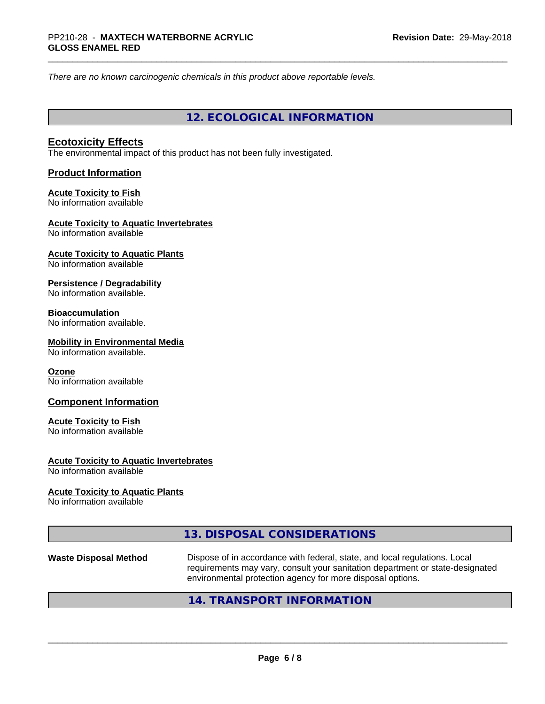*There are no known carcinogenic chemicals in this product above reportable levels.*

**12. ECOLOGICAL INFORMATION**

# **Ecotoxicity Effects**

The environmental impact of this product has not been fully investigated.

# **Product Information**

#### **Acute Toxicity to Fish** No information available

# **Acute Toxicity to Aquatic Invertebrates**

No information available

#### **Acute Toxicity to Aquatic Plants** No information available

#### **Persistence / Degradability** No information available.

# **Bioaccumulation**

No information available.

# **Mobility in Environmental Media**

No information available.

## **Ozone**

No information available

# **Component Information**

## **Acute Toxicity to Fish**

No information available

# **Acute Toxicity to Aquatic Invertebrates**

No information available

## **Acute Toxicity to Aquatic Plants**

No information available

# **13. DISPOSAL CONSIDERATIONS**

Waste Disposal Method **Dispose of in accordance with federal, state, and local regulations. Local** requirements may vary, consult your sanitation department or state-designated environmental protection agency for more disposal options.

 $\overline{\phantom{a}}$  ,  $\overline{\phantom{a}}$  ,  $\overline{\phantom{a}}$  ,  $\overline{\phantom{a}}$  ,  $\overline{\phantom{a}}$  ,  $\overline{\phantom{a}}$  ,  $\overline{\phantom{a}}$  ,  $\overline{\phantom{a}}$  ,  $\overline{\phantom{a}}$  ,  $\overline{\phantom{a}}$  ,  $\overline{\phantom{a}}$  ,  $\overline{\phantom{a}}$  ,  $\overline{\phantom{a}}$  ,  $\overline{\phantom{a}}$  ,  $\overline{\phantom{a}}$  ,  $\overline{\phantom{a}}$ 

# **14. TRANSPORT INFORMATION**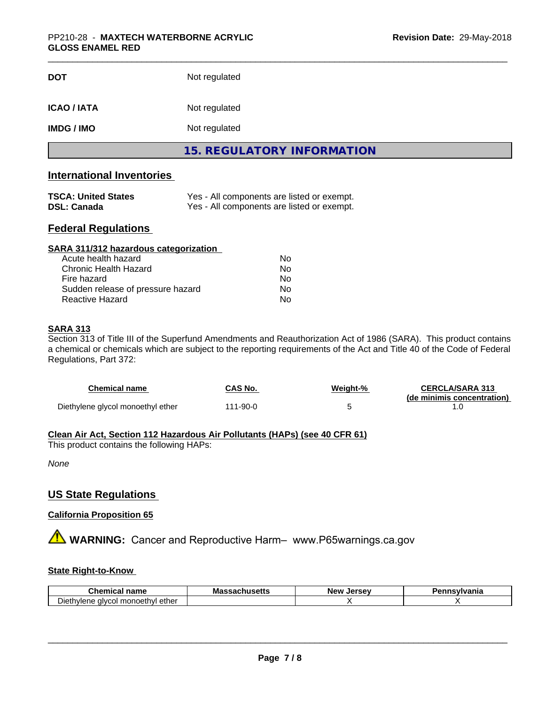| <b>DOT</b>        | Not regulated                     |
|-------------------|-----------------------------------|
| <b>ICAO/IATA</b>  | Not regulated                     |
| <b>IMDG / IMO</b> | Not regulated                     |
|                   | <b>15. REGULATORY INFORMATION</b> |

# **International Inventories**

| <b>TSCA: United States</b> | Yes - All components are listed or exempt. |
|----------------------------|--------------------------------------------|
| DSL: Canada                | Yes - All components are listed or exempt. |

# **Federal Regulations**

| SARA 311/312 hazardous categorization |    |  |
|---------------------------------------|----|--|
| Acute health hazard                   | Nο |  |
| Chronic Health Hazard                 | No |  |
| Fire hazard                           | Nο |  |
| Sudden release of pressure hazard     | Nο |  |
| Reactive Hazard                       | No |  |

# **SARA 313**

Section 313 of Title III of the Superfund Amendments and Reauthorization Act of 1986 (SARA). This product contains a chemical or chemicals which are subject to the reporting requirements of the Act and Title 40 of the Code of Federal Regulations, Part 372:

| <b>Chemical name</b>              | CAS No.  | Weiaht-% | <b>CERCLA/SARA 313</b><br>(de minimis concentration) |
|-----------------------------------|----------|----------|------------------------------------------------------|
| Diethylene glycol monoethyl ether | 111-90-0 |          |                                                      |

# **Clean Air Act,Section 112 Hazardous Air Pollutants (HAPs) (see 40 CFR 61)**

This product contains the following HAPs:

*None*

# **US State Regulations**

# **California Proposition 65**

**A** WARNING: Cancer and Reproductive Harm– www.P65warnings.ca.gov

# **State Right-to-Know**

| Chemical                                                         | ''61          | Jersev | <b>nsvlvania</b> |
|------------------------------------------------------------------|---------------|--------|------------------|
| ∵name                                                            | massachusetts | New    |                  |
| -<br>. ether<br>∟monoeth∨l<br>$D$ ieth<br>. ⊴IVCOL ∟<br>nviene : |               |        |                  |